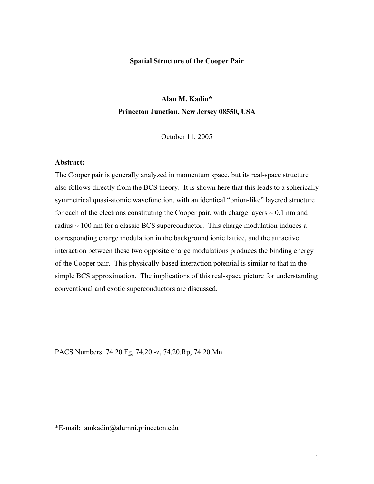### **Spatial Structure of the Cooper Pair**

# **Alan M. Kadin\* Princeton Junction, New Jersey 08550, USA**

October 11, 2005

## **Abstract:**

The Cooper pair is generally analyzed in momentum space, but its real-space structure also follows directly from the BCS theory. It is shown here that this leads to a spherically symmetrical quasi-atomic wavefunction, with an identical "onion-like" layered structure for each of the electrons constituting the Cooper pair, with charge layers  $\sim 0.1$  nm and radius  $\sim$  100 nm for a classic BCS superconductor. This charge modulation induces a corresponding charge modulation in the background ionic lattice, and the attractive interaction between these two opposite charge modulations produces the binding energy of the Cooper pair. This physically-based interaction potential is similar to that in the simple BCS approximation. The implications of this real-space picture for understanding conventional and exotic superconductors are discussed.

PACS Numbers: 74.20.Fg, 74.20.-z, 74.20.Rp, 74.20.Mn

\*E-mail: amkadin@alumni.princeton.edu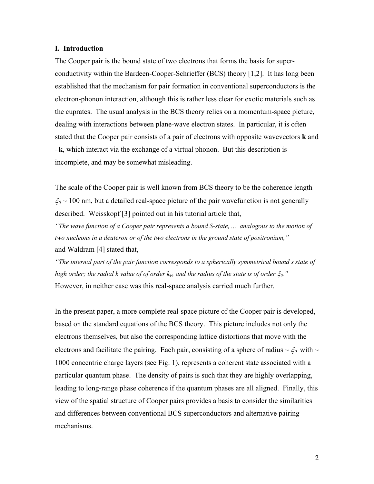### **I. Introduction**

The Cooper pair is the bound state of two electrons that forms the basis for superconductivity within the Bardeen-Cooper-Schrieffer (BCS) theory [1,2]. It has long been established that the mechanism for pair formation in conventional superconductors is the electron-phonon interaction, although this is rather less clear for exotic materials such as the cuprates. The usual analysis in the BCS theory relies on a momentum-space picture, dealing with interactions between plane-wave electron states. In particular, it is often stated that the Cooper pair consists of a pair of electrons with opposite wavevectors **k** and **–k**, which interact via the exchange of a virtual phonon. But this description is incomplete, and may be somewhat misleading.

The scale of the Cooper pair is well known from BCS theory to be the coherence length ξ*0* ~ 100 nm, but a detailed real-space picture of the pair wavefunction is not generally described. Weisskopf [3] pointed out in his tutorial article that,

*"The wave function of a Cooper pair represents a bound S-state, ... analogous to the motion of two nucleons in a deuteron or of the two electrons in the ground state of positronium,"*  and Waldram [4] stated that,

*"The internal part of the pair function corresponds to a spherically symmetrical bound s state of high order; the radial k value of of order*  $k_F$ *, and the radius of the state is of order*  $\xi_0$ *."* However, in neither case was this real-space analysis carried much further.

In the present paper, a more complete real-space picture of the Cooper pair is developed, based on the standard equations of the BCS theory. This picture includes not only the electrons themselves, but also the corresponding lattice distortions that move with the electrons and facilitate the pairing. Each pair, consisting of a sphere of radius  $\sim \xi_0$  with  $\sim$ 1000 concentric charge layers (see Fig. 1), represents a coherent state associated with a particular quantum phase. The density of pairs is such that they are highly overlapping, leading to long-range phase coherence if the quantum phases are all aligned. Finally, this view of the spatial structure of Cooper pairs provides a basis to consider the similarities and differences between conventional BCS superconductors and alternative pairing mechanisms.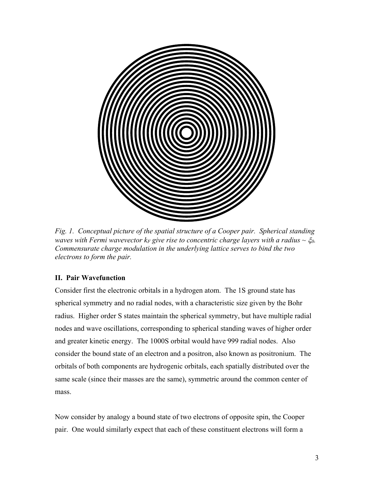

*Fig. 1. Conceptual picture of the spatial structure of a Cooper pair. Spherical standing waves with Fermi wavevector k<sub>F</sub> give rise to concentric charge layers with a radius*  $\sim \xi_0$ *. Commensurate charge modulation in the underlying lattice serves to bind the two electrons to form the pair.* 

# **II. Pair Wavefunction**

Consider first the electronic orbitals in a hydrogen atom. The 1S ground state has spherical symmetry and no radial nodes, with a characteristic size given by the Bohr radius. Higher order S states maintain the spherical symmetry, but have multiple radial nodes and wave oscillations, corresponding to spherical standing waves of higher order and greater kinetic energy. The 1000S orbital would have 999 radial nodes. Also consider the bound state of an electron and a positron, also known as positronium. The orbitals of both components are hydrogenic orbitals, each spatially distributed over the same scale (since their masses are the same), symmetric around the common center of mass.

Now consider by analogy a bound state of two electrons of opposite spin, the Cooper pair. One would similarly expect that each of these constituent electrons will form a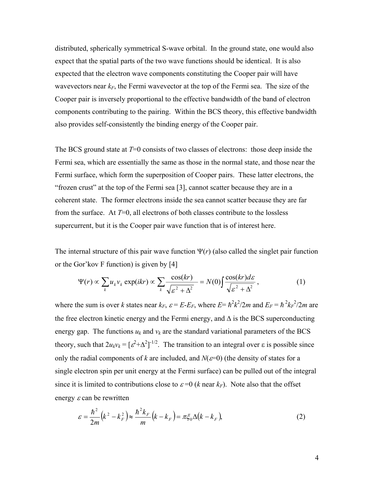distributed, spherically symmetrical S-wave orbital. In the ground state, one would also expect that the spatial parts of the two wave functions should be identical. It is also expected that the electron wave components constituting the Cooper pair will have wavevectors near  $k_F$ , the Fermi wavevector at the top of the Fermi sea. The size of the Cooper pair is inversely proportional to the effective bandwidth of the band of electron components contributing to the pairing. Within the BCS theory, this effective bandwidth also provides self-consistently the binding energy of the Cooper pair.

The BCS ground state at *T*=0 consists of two classes of electrons: those deep inside the Fermi sea, which are essentially the same as those in the normal state, and those near the Fermi surface, which form the superposition of Cooper pairs. These latter electrons, the "frozen crust" at the top of the Fermi sea [3], cannot scatter because they are in a coherent state. The former electrons inside the sea cannot scatter because they are far from the surface. At  $T=0$ , all electrons of both classes contribute to the lossless supercurrent, but it is the Cooper pair wave function that is of interest here.

The internal structure of this pair wave function  $\Psi(r)$  (also called the singlet pair function or the Gor'kov F function) is given by [4]

$$
\Psi(r) \propto \sum_{k} u_{k} v_{k} \exp(ikr) \propto \sum_{k} \frac{\cos(kr)}{\sqrt{\varepsilon^{2} + \Delta^{2}}} = N(0) \int \frac{\cos(kr) d\varepsilon}{\sqrt{\varepsilon^{2} + \Delta^{2}}}, \qquad (1)
$$

where the sum is over *k* states near  $k_F$ ,  $\varepsilon = E - E_F$ , where  $E = \hbar^2 k^2 / 2m$  and  $E_F = \hbar^2 k^2 / 2m$  are the free electron kinetic energy and the Fermi energy, and ∆ is the BCS superconducting energy gap. The functions  $u_k$  and  $v_k$  are the standard variational parameters of the BCS theory, such that  $2u_kv_k = [\varepsilon^2 + \Delta^2]^{-1/2}$ . The transition to an integral over  $\varepsilon$  is possible since only the radial components of *k* are included, and  $N(\varepsilon=0)$  (the density of states for a single electron spin per unit energy at the Fermi surface) can be pulled out of the integral since it is limited to contributions close to  $\varepsilon = 0$  (*k* near  $k_F$ ). Note also that the offset energy  $\varepsilon$  can be rewritten

$$
\varepsilon = \frac{\hbar^2}{2m} (k^2 - k_F^2) \approx \frac{\hbar^2 k_F}{m} (k - k_F) = \pi \xi_0 \Delta (k - k_F),
$$
 (2)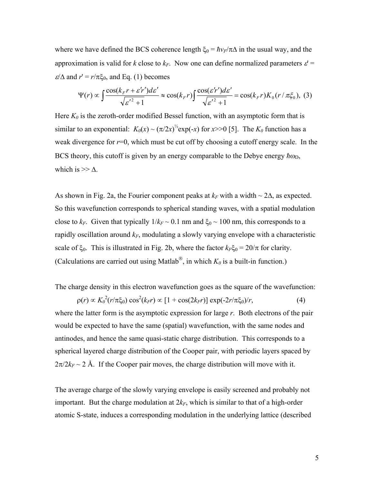where we have defined the BCS coherence length  $\xi_0 = \hbar v_F/\pi \Delta$  in the usual way, and the approximation is valid for *k* close to  $k_F$ . Now one can define normalized parameters  $\varepsilon$  =  $\varepsilon/\Delta$  and  $r' = r/\pi \xi_0$ , and Eq. (1) becomes

$$
\Psi(r) \propto \int \frac{\cos(k_{F}r + \varepsilon' r')d\varepsilon'}{\sqrt{\varepsilon'^{2} + 1}} \approx \cos(k_{F}r) \int \frac{\cos(\varepsilon' r')d\varepsilon'}{\sqrt{\varepsilon'^{2} + 1}} = \cos(k_{F}r)K_{0}(r/\pi\xi_{0}), \quad (3)
$$

Here  $K_0$  is the zeroth-order modified Bessel function, with an asymptotic form that is similar to an exponential:  $K_0(x) \sim (\pi/2x)^{1/2} \exp(-x)$  for  $x>>0$  [5]. The  $K_0$  function has a weak divergence for  $r=0$ , which must be cut off by choosing a cutoff energy scale. In the BCS theory, this cutoff is given by an energy comparable to the Debye energy  $\hbar \omega_D$ , which is  $>> \Delta$ .

As shown in Fig. 2a, the Fourier component peaks at  $k_F$  with a width ~ 2 $\Delta$ , as expected. So this wavefunction corresponds to spherical standing waves, with a spatial modulation close to  $k_F$ . Given that typically  $1/k_F \sim 0.1$  nm and  $\xi_0 \sim 100$  nm, this corresponds to a rapidly oscillation around  $k_F$ , modulating a slowly varying envelope with a characteristic scale of  $\xi_0$ . This is illustrated in Fig. 2b, where the factor  $k_F \xi_0 = 20/\pi$  for clarity. (Calculations are carried out using Matlab<sup>®</sup>, in which  $K_0$  is a built-in function.)

The charge density in this electron wavefunction goes as the square of the wavefunction:

 $\rho(r) \propto K_0^2(r/\pi\xi_0) \cos^2(k_F r) \propto [1 + \cos(2k_F r)] \exp(-2r/\pi\xi_0)/r,$  (4) where the latter form is the asymptotic expression for large *r*. Both electrons of the pair would be expected to have the same (spatial) wavefunction, with the same nodes and antinodes, and hence the same quasi-static charge distribution. This corresponds to a spherical layered charge distribution of the Cooper pair, with periodic layers spaced by  $2\pi/2k_F \sim 2$  Å. If the Cooper pair moves, the charge distribution will move with it.

The average charge of the slowly varying envelope is easily screened and probably not important. But the charge modulation at  $2k_F$ , which is similar to that of a high-order atomic S-state, induces a corresponding modulation in the underlying lattice (described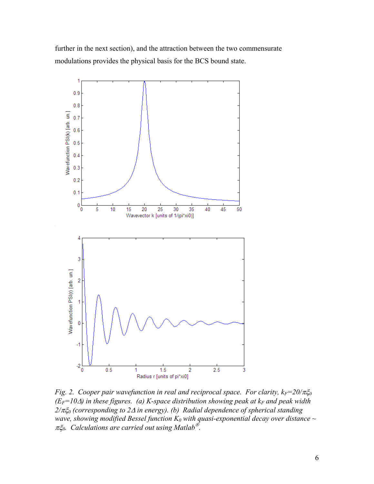further in the next section), and the attraction between the two commensurate modulations provides the physical basis for the BCS bound state.



*Fig. 2. Cooper pair wavefunction in real and reciprocal space. For clarity,*  $k_F = 20/\pi \xi_0$  $(E_F=10\Delta)$  in these figures. (a) K-space distribution showing peak at  $k_F$  and peak width *2/*πξ*0 (corresponding to 2*∆ *in energy). (b) Radial dependence of spherical standing wave, showing modified Bessel function*  $K_0$  *with quasi-exponential decay over distance*  $\sim$ πξ*0. Calculations are carried out using Matlab .*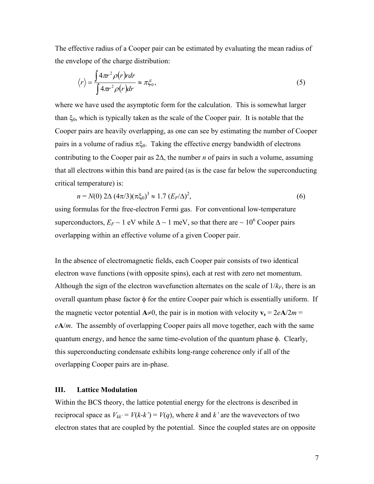The effective radius of a Cooper pair can be estimated by evaluating the mean radius of the envelope of the charge distribution:

$$
\langle r \rangle = \frac{\int 4\pi r^2 \rho(r) r dr}{\int 4\pi r^2 \rho(r) dr} \approx \pi \xi_0,
$$
\n(5)

where we have used the asymptotic form for the calculation. This is somewhat larger than  $\xi_0$ , which is typically taken as the scale of the Cooper pair. It is notable that the Cooper pairs are heavily overlapping, as one can see by estimating the number of Cooper pairs in a volume of radius  $\pi \xi_0$ . Taking the effective energy bandwidth of electrons contributing to the Cooper pair as 2∆, the number *n* of pairs in such a volume, assuming that all electrons within this band are paired (as is the case far below the superconducting critical temperature) is:

$$
n = N(0) 2\Delta (4\pi/3) (\pi \xi_0)^3 \approx 1.7 (E_F/\Delta)^2,
$$
\n(6)

using formulas for the free-electron Fermi gas. For conventional low-temperature superconductors,  $E_F \sim 1$  eV while  $\Delta \sim 1$  meV, so that there are  $\sim 10^6$  Cooper pairs overlapping within an effective volume of a given Cooper pair.

In the absence of electromagnetic fields, each Cooper pair consists of two identical electron wave functions (with opposite spins), each at rest with zero net momentum. Although the sign of the electron wavefunction alternates on the scale of  $1/k_F$ , there is an overall quantum phase factor  $\phi$  for the entire Cooper pair which is essentially uniform. If the magnetic vector potential  $A \neq 0$ , the pair is in motion with velocity  $v_s = 2eA/2m =$ *e***A**/*m*. The assembly of overlapping Cooper pairs all move together, each with the same quantum energy, and hence the same time-evolution of the quantum phase φ. Clearly, this superconducting condensate exhibits long-range coherence only if all of the overlapping Cooper pairs are in-phase.

## **III. Lattice Modulation**

Within the BCS theory, the lattice potential energy for the electrons is described in reciprocal space as  $V_{kk'} = V(k-k') = V(q)$ , where *k* and *k'* are the wavevectors of two electron states that are coupled by the potential. Since the coupled states are on opposite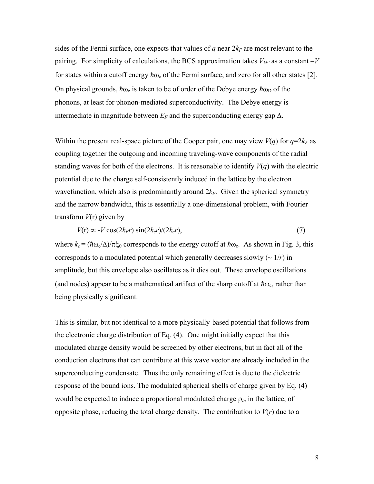sides of the Fermi surface, one expects that values of  $q$  near  $2k_F$  are most relevant to the pairing. For simplicity of calculations, the BCS approximation takes  $V_{kk}$  as a constant  $-V$ for states within a cutoff energy  $\hbar\omega_c$  of the Fermi surface, and zero for all other states [2]. On physical grounds,  $\hbar \omega_c$  is taken to be of order of the Debye energy  $\hbar \omega_D$  of the phonons, at least for phonon-mediated superconductivity. The Debye energy is intermediate in magnitude between  $E_F$  and the superconducting energy gap  $\Delta$ .

Within the present real-space picture of the Cooper pair, one may view  $V(q)$  for  $q=2k_F$  as coupling together the outgoing and incoming traveling-wave components of the radial standing waves for both of the electrons. It is reasonable to identify  $V(q)$  with the electric potential due to the charge self-consistently induced in the lattice by the electron wavefunction, which also is predominantly around  $2k_F$ . Given the spherical symmetry and the narrow bandwidth, this is essentially a one-dimensional problem, with Fourier transform *V*(r) given by

$$
V(r) \propto -V \cos(2k_F r) \sin(2k_c r)/(2k_c r),\tag{7}
$$

where  $k_c = (\hbar \omega_c/\Delta)/\pi \xi_0$  corresponds to the energy cutoff at  $\hbar \omega_c$ . As shown in Fig. 3, this corresponds to a modulated potential which generally decreases slowly  $\left(\sim 1/r\right)$  in amplitude, but this envelope also oscillates as it dies out. These envelope oscillations (and nodes) appear to be a mathematical artifact of the sharp cutoff at  $\hbar \omega_c$ , rather than being physically significant.

This is similar, but not identical to a more physically-based potential that follows from the electronic charge distribution of Eq. (4). One might initially expect that this modulated charge density would be screened by other electrons, but in fact all of the conduction electrons that can contribute at this wave vector are already included in the superconducting condensate. Thus the only remaining effect is due to the dielectric response of the bound ions. The modulated spherical shells of charge given by Eq. (4) would be expected to induce a proportional modulated charge ρ*in* in the lattice, of opposite phase, reducing the total charge density. The contribution to  $V(r)$  due to a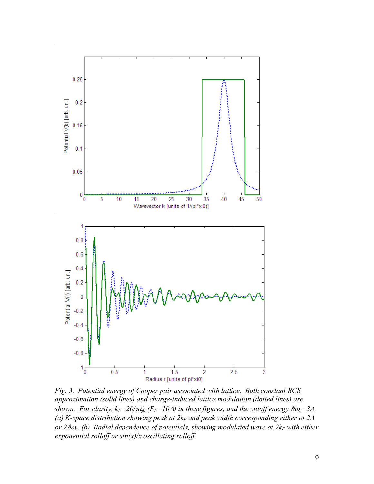

*Fig. 3. Potential energy of Cooper pair associated with lattice. Both constant BCS approximation (solid lines) and charge-induced lattice modulation (dotted lines) are shown. For clarity, k<sub>F</sub>=20/* $\pi \xi_0$  *(E<sub>F</sub>=10* $\Delta$ *) in these figures, and the cutoff energy*  $\hbar \omega_c$ *=3* $\Delta$ *.* (a) K-space distribution showing peak at  $2k_F$  and peak width corresponding either to  $2\Delta$ *or 2ho<sub>c</sub>. (b) Radial dependence of potentials, showing modulated wave at*  $2k_F$  *with either exponential rolloff or sin(x)/x oscillating rolloff.*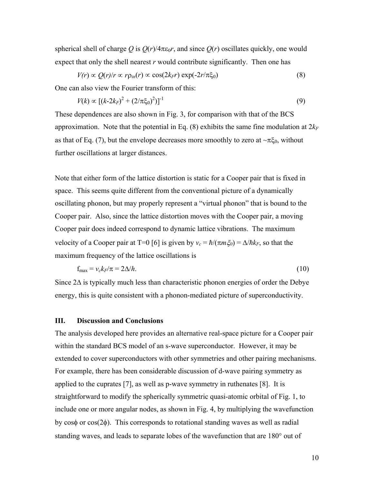spherical shell of charge *Q* is  $Q(r)/4\pi\varepsilon_0r$ , and since  $Q(r)$  oscillates quickly, one would expect that only the shell nearest *r* would contribute significantly. Then one has

$$
V(r) \propto Q(r)/r \propto r\rho_{in}(r) \propto \cos(2k_F r) \exp(-2r/\pi\xi_0)
$$
\n(8)

One can also view the Fourier transform of this:

$$
V(k) \propto \left[ (k - 2k_F)^2 + (2/\pi \xi_0)^2 \right]^{-1} \tag{9}
$$

These dependences are also shown in Fig. 3, for comparison with that of the BCS approximation. Note that the potential in Eq.  $(8)$  exhibits the same fine modulation at  $2k_F$ as that of Eq. (7), but the envelope decreases more smoothly to zero at  $\neg \pi \xi_0$ , without further oscillations at larger distances.

Note that either form of the lattice distortion is static for a Cooper pair that is fixed in space. This seems quite different from the conventional picture of a dynamically oscillating phonon, but may properly represent a "virtual phonon" that is bound to the Cooper pair. Also, since the lattice distortion moves with the Cooper pair, a moving Cooper pair does indeed correspond to dynamic lattice vibrations. The maximum velocity of a Cooper pair at T=0 [6] is given by  $v_c = \hbar/(\pi m \xi_0) = \Delta/\hbar k_F$ , so that the maximum frequency of the lattice oscillations is

$$
f_{\text{max}} = v_c k_F / \pi = 2\Delta / h. \tag{10}
$$

Since 2∆ is typically much less than characteristic phonon energies of order the Debye energy, this is quite consistent with a phonon-mediated picture of superconductivity.

### **III. Discussion and Conclusions**

The analysis developed here provides an alternative real-space picture for a Cooper pair within the standard BCS model of an s-wave superconductor. However, it may be extended to cover superconductors with other symmetries and other pairing mechanisms. For example, there has been considerable discussion of d-wave pairing symmetry as applied to the cuprates [7], as well as p-wave symmetry in ruthenates [8]. It is straightforward to modify the spherically symmetric quasi-atomic orbital of Fig. 1, to include one or more angular nodes, as shown in Fig. 4, by multiplying the wavefunction by cosφ or cos(2φ). This corresponds to rotational standing waves as well as radial standing waves, and leads to separate lobes of the wavefunction that are 180° out of

10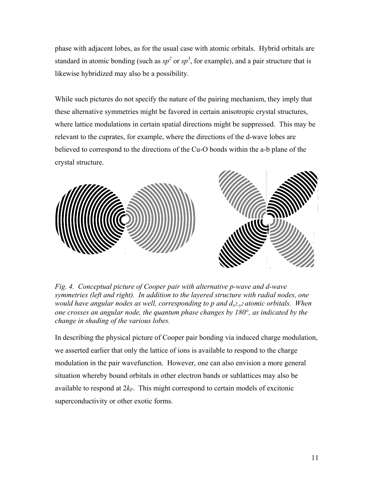phase with adjacent lobes, as for the usual case with atomic orbitals. Hybrid orbitals are standard in atomic bonding (such as  $sp^2$  or  $sp^3$ , for example), and a pair structure that is likewise hybridized may also be a possibility.

While such pictures do not specify the nature of the pairing mechanism, they imply that these alternative symmetries might be favored in certain anisotropic crystal structures, where lattice modulations in certain spatial directions might be suppressed. This may be relevant to the cuprates, for example, where the directions of the d-wave lobes are believed to correspond to the directions of the Cu-O bonds within the a-b plane of the crystal structure.



*ig. 4. Conceptual picture of Cooper pair with alternative p-wave and d-wave F symmetries (left and right). In addition to the layered structure with radial nodes, one would have angular nodes as well, corresponding to p and dx2-y2 atomic orbitals. When one crosses an angular node, the quantum phase changes by 180*°*, as indicated by the change in shading of the various lobes.* 

In describing the physical picture of Cooper pair bonding via induced charge modulation, modulation in the pair wavefunction. However, one can also envision a more general we asserted earlier that only the lattice of ions is available to respond to the charge situation whereby bound orbitals in other electron bands or sublattices may also be available to respond at  $2k_F$ . This might correspond to certain models of excitonic superconductivity or other exotic forms.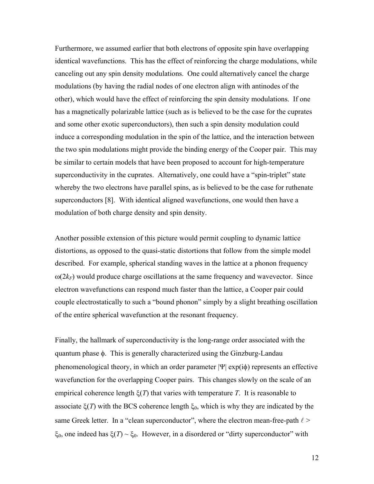Furthermore, we assumed earlier that both electrons of opposite spin have overlapping identical wavefunctions. This has the effect of reinforcing the charge modulations, while canceling out any spin density modulations. One could alternatively cancel the charge modulations (by having the radial nodes of one electron align with antinodes of the other), which would have the effect of reinforcing the spin density modulations. If one has a magnetically polarizable lattice (such as is believed to be the case for the cuprates and some other exotic superconductors), then such a spin density modulation could induce a corresponding modulation in the spin of the lattice, and the interaction between the two spin modulations might provide the binding energy of the Cooper pair. This may be similar to certain models that have been proposed to account for high-temperature superconductivity in the cuprates. Alternatively, one could have a "spin-triplet" state whereby the two electrons have parallel spins, as is believed to be the case for ruthenate superconductors [8]. With identical aligned wavefunctions, one would then have a modulation of both charge density and spin density.

Another possible extension of this picture would permit coupling to dynamic lattice distortions, as opposed to the quasi-static distortions that follow from the simple model described. For example, spherical standing waves in the lattice at a phonon frequency  $\omega(2k_F)$  would produce charge oscillations at the same frequency and wavevector. Since electron wavefunctions can respond much faster than the lattice, a Cooper pair could couple electrostatically to such a "bound phonon" simply by a slight breathing oscillation of the entire spherical wavefunction at the resonant frequency.

Finally, the hallmark of superconductivity is the long-range order associated with the quantum phase φ. This is generally characterized using the Ginzburg-Landau phenomenological theory, in which an order parameter  $|\Psi|$  exp(i $\phi$ ) represents an effective wavefunction for the overlapping Cooper pairs. This changes slowly on the scale of an empirical coherence length ξ(*T*) that varies with temperature *T*. It is reasonable to associate  $\xi(T)$  with the BCS coherence length  $\xi_0$ , which is why they are indicated by the same Greek letter. In a "clean superconductor", where the electron mean-free-path  $\ell$  > ξ<sub>0</sub>, one indeed has ξ(*T*) ~ ξ<sub>0</sub>. However, in a disordered or "dirty superconductor" with

12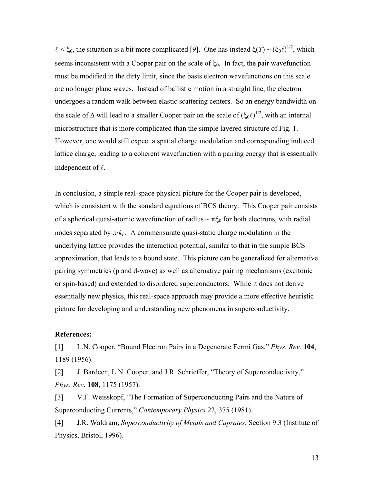$\ell < \xi_0$ , the situation is a bit more complicated [9]. One has instead  $\xi(T) \sim (\xi_0 \ell)^{1/2}$ , which seems inconsistent with a Cooper pair on the scale of  $\xi_0$ . In fact, the pair wavefunction must be modified in the dirty limit, since the basis electron wavefunctions on this scale are no longer plane waves. Instead of ballistic motion in a straight line, the electron undergoes a random walk between elastic scattering centers. So an energy bandwidth on the scale of  $\Delta$  will lead to a smaller Cooper pair on the scale of  $(\xi_0 \ell)^{1/2}$ , with an internal microstructure that is more complicated than the simple layered structure of Fig. 1. However, one would still expect a spatial charge modulation and corresponding induced lattice charge, leading to a coherent wavefunction with a pairing energy that is essentially independent of  $\ell$ .

In conclusion, a simple real-space physical picture for the Cooper pair is developed, which is consistent with the standard equations of BCS theory. This Cooper pair consists of a spherical quasi-atomic wavefunction of radius  $\sim \pi \xi_0$  for both electrons, with radial nodes separated by  $\pi/k_F$ . A commensurate quasi-static charge modulation in the underlying lattice provides the interaction potential, similar to that in the simple BCS approximation, that leads to a bound state. This picture can be generalized for alternative pairing symmetries (p and d-wave) as well as alternative pairing mechanisms (excitonic or spin-based) and extended to disordered superconductors. While it does not derive essentially new physics, this real-space approach may provide a more effective heuristic picture for developing and understanding new phenomena in superconductivity.

### **References:**

[1] L.N. Cooper, "Bound Electron Pairs in a Degenerate Fermi Gas," *Phys. Rev.* **104**, 1189 (1956).

[2] J. Bardeen, L.N. Cooper, and J.R. Schrieffer, "Theory of Superconductivity," *Phys. Rev.* **108**, 1175 (1957).

[3] V.F. Weisskopf, "The Formation of Superconducting Pairs and the Nature of Superconducting Currents," *Contemporary Physics* 22, 375 (1981).

[4] J.R. Waldram, *Superconductivity of Metals and Cuprates*, Section 9.3 (Institute of Physics, Bristol, 1996).